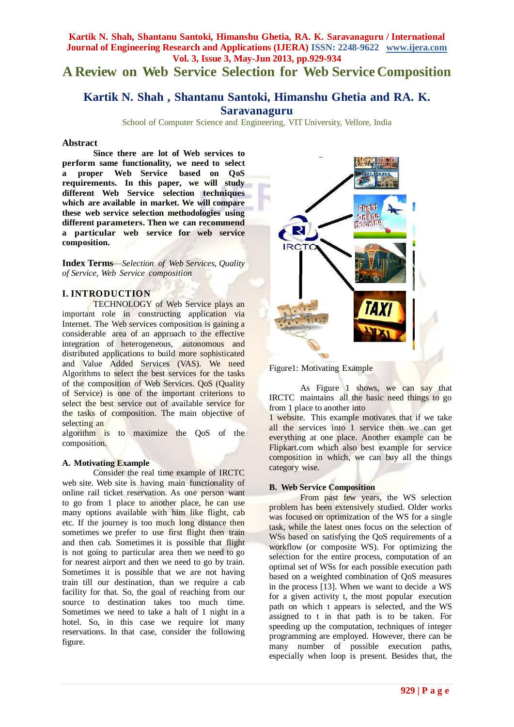# **A Review on Web Service Selection for Web Service Composition**

# **Kartik N. Shah , Shantanu Santoki, Himanshu Ghetia and RA. K. Saravanaguru**

School of Computer Science and Engineering, VIT University, Vellore, India

## **Abstract**

**Since there are lot of Web services to perform same functionality, we need to select a proper Web Service based on QoS requirements. In this paper, we will study different Web Service selection techniques which are available in market. We will compare these web service selection methodologies using different parameters. Then we can recommend a particular web service for web service composition.**

**Index Terms**—*Selection of Web Services, Quality of Service, Web Service composition*

## **I. INTRODUCTION**

TECHNOLOGY of Web Service plays an important role in constructing application via Internet. The Web services composition is gaining a considerable area of an approach to the effective integration of heterogeneous, autonomous and distributed applications to build more sophisticated and Value Added Services (VAS). We need Algorithms to select the best services for the tasks of the composition of Web Services. QoS (Quality of Service) is one of the important criterions to select the best service out of available service for the tasks of composition. The main objective of selecting an

algorithm is to maximize the QoS of the composition.

## **A. Motivating Example**

Consider the real time example of IRCTC web site. Web site is having main functionality of online rail ticket reservation. As one person want to go from 1 place to another place, he can use many options available with him like flight, cab etc. If the journey is too much long distance then sometimes we prefer to use first flight then train and then cab. Sometimes it is possible that flight is not going to particular area then we need to go for nearest airport and then we need to go by train. Sometimes it is possible that we are not having train till our destination, than we require a cab facility for that. So, the goal of reaching from our source to destination takes too much time. Sometimes we need to take a halt of 1 night in a hotel. So, in this case we require lot many reservations. In that case, consider the following figure.



Figure1: Motivating Example

As Figure 1 shows, we can say that IRCTC maintains all the basic need things to go from 1 place to another into

1 website. This example motivates that if we take all the services into 1 service then we can get everything at one place. Another example can be Flipkart.com which also best example for service composition in which, we can buy all the things category wise.

# **B. Web Service Composition**

From past few years, the WS selection problem has been extensively studied. Older works was focused on optimization of the WS for a single task, while the latest ones focus on the selection of WSs based on satisfying the OoS requirements of a workflow (or composite WS). For optimizing the selection for the entire process, computation of an optimal set of WSs for each possible execution path based on a weighted combination of QoS measures in the process [13]. When we want to decide a WS for a given activity t, the most popular execution path on which t appears is selected, and the WS assigned to t in that path is to be taken. For speeding up the computation, techniques of integer programming are employed. However, there can be many number of possible execution paths, especially when loop is present. Besides that, the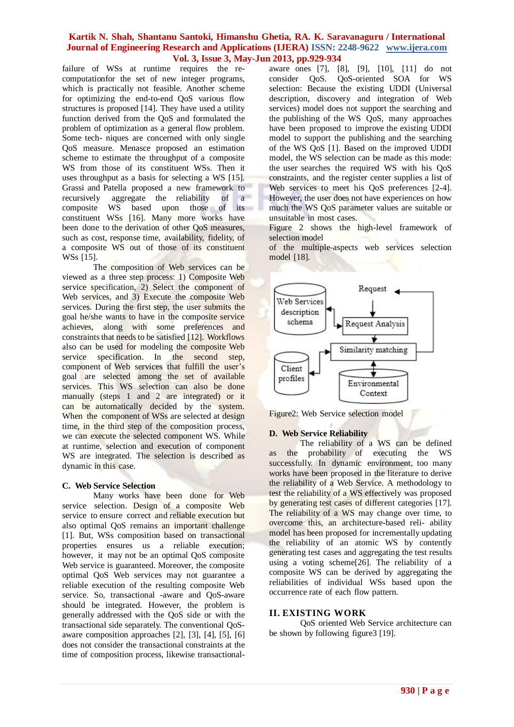failure of WSs at runtime requires the recomputationfor the set of new integer programs, which is practically not feasible. Another scheme for optimizing the end-to-end QoS various flow structures is proposed [14]. They have used a utility function derived from the QoS and formulated the problem of optimization as a general flow problem. Some tech- niques are concerned with only single QoS measure. Menasce proposed an estimation scheme to estimate the throughput of a composite WS from those of its constituent WSs. Then it uses throughput as a basis for selecting a WS [15]. Grassi and Patella proposed a new framework to recursively aggregate the reliability of a composite WS based upon those of its constituent WSs [16]. Many more works have been done to the derivation of other QoS measures, such as cost, response time, availability, fidelity, of a composite WS out of those of its constituent WSs [15].

The composition of Web services can be viewed as a three step process: 1) Composite Web service specification, 2) Select the component of Web services, and 3) Execute the composite Web services. During the first step, the user submits the goal he/she wants to have in the composite service achieves, along with some preferences and constraints that needs to be satisfied [12]. Workflows also can be used for modeling the composite Web service specification. In the second step, component of Web services that fulfill the user's goal are selected among the set of available services. This WS selection can also be done manually (steps 1 and 2 are integrated) or it can be automatically decided by the system. When the component of WSs are selected at design time, in the third step of the composition process, we can execute the selected component WS. While at runtime, selection and execution of component WS are integrated. The selection is described as dynamic in this case.

## **C. Web Service Selection**

Many works have been done for Web service selection. Design of a composite Web service to ensure correct and reliable execution but also optimal QoS remains an important challenge [1]. But, WSs composition based on transactional properties ensures us a reliable execution; however, it may not be an optimal QoS composite Web service is guaranteed. Moreover, the composite optimal QoS Web services may not guarantee a reliable execution of the resulting composite Web service. So, transactional -aware and QoS-aware should be integrated. However, the problem is generally addressed with the QoS side or with the transactional side separately. The conventional QoSaware composition approaches [2], [3], [4], [5], [6] does not consider the transactional constraints at the time of composition process, likewise transactionalaware ones [7], [8], [9], [10], [11] do not consider QoS. QoS-oriented SOA for WS selection: Because the existing UDDI (Universal description, discovery and integration of Web services) model does not support the searching and the publishing of the WS QoS, many approaches have been proposed to improve the existing UDDI model to support the publishing and the searching of the WS QoS [1]. Based on the improved UDDI model, the WS selection can be made as this mode: the user searches the required WS with his QoS constraints, and the register center supplies a list of Web services to meet his QoS preferences [2-4]. However, the user does not have experiences on how much the WS QoS parameter values are suitable or unsuitable in most cases.

Figure 2 shows the high-level framework of selection model

of the multiple-aspects web services selection model [18].



Figure2: Web Service selection model

#### **D. Web Service Reliability**

The reliability of a WS can be defined as the probability of executing the WS successfully. In dynamic environment, too many works have been proposed in the literature to derive the reliability of a Web Service. A methodology to test the reliability of a WS effectively was proposed by generating test cases of different categories [17]. The reliability of a WS may change over time, to overcome this, an architecture-based reli- ability model has been proposed for incrementally updating the reliability of an atomic WS by contently generating test cases and aggregating the test results using a voting scheme[26]. The reliability of a composite WS can be derived by aggregating the reliabilities of individual WSs based upon the occurrence rate of each flow pattern.

## **II. EXISTING WORK**

QoS oriented Web Service architecture can be shown by following figure3 [19].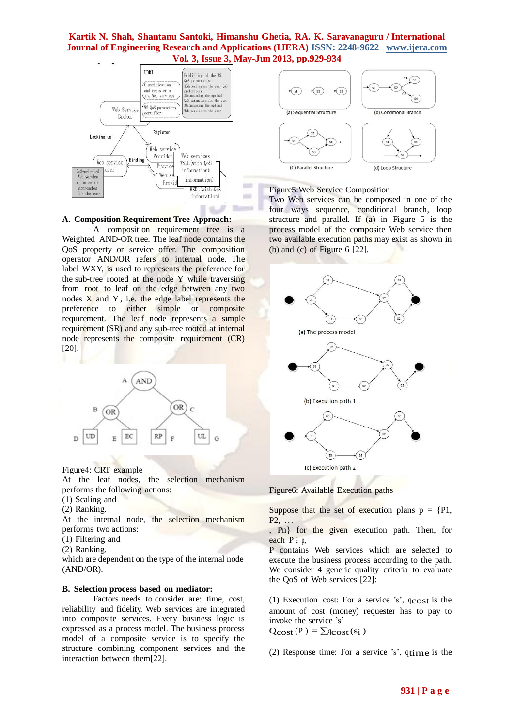$\equiv$ 

in a



**A. Composition Requirement Tree Approach:**

A composition requirement tree is a Weighted AND-OR tree. The leaf node contains the QoS property or service offer. The composition operator AND/OR refers to internal node. The label WXY, is used to represents the preference for the sub-tree rooted at the node Y while traversing from root to leaf on the edge between any two nodes X and Y , i.e. the edge label represents the preference to either simple or composite requirement. The leaf node represents a simple requirement (SR) and any sub-tree rooted at internal node represents the composite requirement (CR) [20].



Figure4: CRT example

At the leaf nodes, the selection mechanism performs the following actions:

- (1) Scaling and
- (2) Ranking.

At the internal node, the selection mechanism performs two actions:

- (1) Filtering and
- (2) Ranking.

which are dependent on the type of the internal node (AND/OR).

#### **B. Selection process based on mediator:**

Factors needs to consider are: time, cost, reliability and fidelity. Web services are integrated into composite services. Every business logic is expressed as a process model. The business process model of a composite service is to specify the structure combining component services and the interaction between them[22].



#### Figure5:Web Service Composition

Two Web services can be composed in one of the four ways sequence, conditional branch, loop structure and parallel. If (a) in Figure 5 is the process model of the composite Web service then two available execution paths may exist as shown in (b) and (c) of Figure 6 [22].



Figure6: Available Execution paths

Suppose that the set of execution plans  $p = \{Pl,$  $P2, \ldots$ 

, Pn} for the given execution path. Then, for each  $P \in p$ ,

P contains Web services which are selected to execute the business process according to the path. We consider 4 generic quality criteria to evaluate the QoS of Web services [22]:

(1) Execution cost: For a service 's',  $q_{\text{cost}}$  is the amount of cost (money) requester has to pay to invoke the service 's'

 $Q\text{cost}(P) = \sum q\text{cost}(s_i)$ 

(2) Response time: For a service 's', qtime is the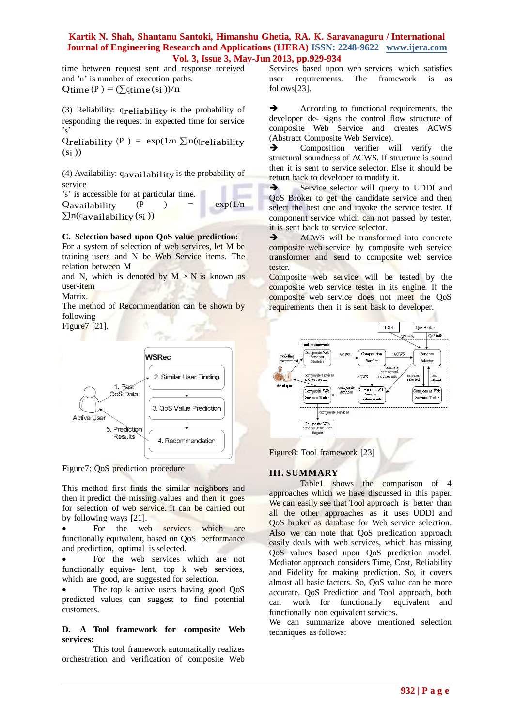time between request sent and response received and 'n' is number of execution paths. Qtime  $(P) = (\sum qtime (s_i))/n$ 

(3) Reliability: qreliability is the probability of responding the request in expected time for service 's'

Qreliability (P) = exp(1/n  $\sum$ ln(qreliability  $(s_i)$ 

(4) Availability: qavailability is the probability of service

's' is accessible for at particular time. Qavailability  $(P \t) = \exp(1/n)$  $\sum$ ln(qavailability (si))

## **C. Selection based upon QoS value prediction:**

For a system of selection of web services, let M be training users and N be Web Service items. The relation between M

and N, which is denoted by  $M \times N$  is known as user-item

Matrix.

The method of Recommendation can be shown by following

Figure7 [21].



Figure7: QoS prediction procedure

This method first finds the similar neighbors and then it predict the missing values and then it goes for selection of web service. It can be carried out by following ways [21].

• For the web services which are functionally equivalent, based on QoS performance and prediction, optimal is selected.

 For the web services which are not functionally equiva- lent, top k web services, which are good, are suggested for selection.

 The top k active users having good QoS predicted values can suggest to find potential customers.

#### **D. A Tool framework for composite Web services:**

This tool framework automatically realizes orchestration and verification of composite Web Services based upon web services which satisfies user requirements. The framework is as follows[23].

According to functional requirements, the developer de- signs the control flow structure of composite Web Service and creates ACWS (Abstract Composite Web Service).

 $\rightarrow$  Composition verifier will verify the structural soundness of ACWS. If structure is sound then it is sent to service selector. Else it should be return back to developer to modify it.

Service selector will query to UDDI and QoS Broker to get the candidate service and then select the best one and invoke the service tester. If component service which can not passed by tester, it is sent back to service selector.

ACWS will be transformed into concrete composite web service by composite web service transformer and send to composite web service tester.

Composite web service will be tested by the composite web service tester in its engine. If the composite web service does not meet the QoS requirements then it is sent bask to developer.



Figure8: Tool framework [23]

## **III. SUMMARY**

Table1 shows the comparison of 4 approaches which we have discussed in this paper. We can easily see that Tool approach is better than all the other approaches as it uses UDDI and QoS broker as database for Web service selection. Also we can note that QoS predication approach easily deals with web services, which has missing QoS values based upon QoS prediction model. Mediator approach considers Time, Cost, Reliability and Fidelity for making prediction. So, it covers almost all basic factors. So, QoS value can be more accurate. QoS Prediction and Tool approach, both can work for functionally equivalent and functionally non equivalent services.

We can summarize above mentioned selection techniques as follows: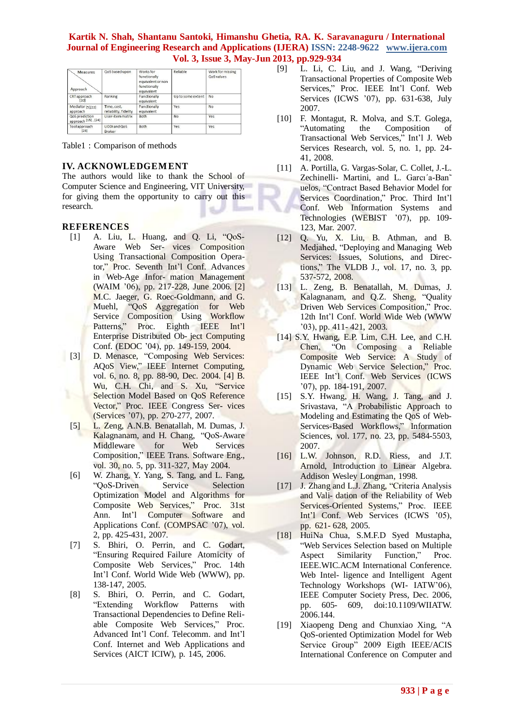| Measures<br>Approach                  | QoS based upon                       | Works for<br>functionally<br>equivalent or non<br>functionally<br>equivalent | Reliable          | Work for missing<br>QoS values |
|---------------------------------------|--------------------------------------|------------------------------------------------------------------------------|-------------------|--------------------------------|
| CRT approach<br>[20]                  | Ranking                              | Functionally<br>equivalent                                                   | Up to some extent | No                             |
| Mediator [5][22]<br>approach          | Time, cost,<br>reliability, fidelity | Functionally<br>equivalent                                                   | Yes               | <b>No</b>                      |
| QoS prediction<br>approach [15], [24] | User-item matrix                     | <b>Both</b>                                                                  | No                | Yes                            |
| Tool approach<br>[23]                 | UDDI and QoS<br><b>Broker</b>        | <b>Both</b>                                                                  | Yes               | Yes                            |

Table1 : Comparison of methods

# **IV. ACKNOWLEDGEMENT**

The authors would like to thank the School of Computer Science and Engineering, VIT University, for giving them the opportunity to carry out this research.

# **REFERENCES**

- [1] A. Liu, L. Huang, and Q. Li, "QoS-Aware Web Ser- vices Composition Using Transactional Composition Operator," Proc. Seventh Int'l Conf. Advances in Web-Age Infor- mation Management (WAIM '06), pp. 217-228, June 2006. [2] M.C. Jaeger, G. Roec-Goldmann, and G. Muehl, "QoS Aggregation for Web Service Composition Using Workflow Patterns," Proc. Eighth IEEE Int'l Enterprise Distributed Ob- ject Computing Conf. (EDOC '04), pp. 149-159, 2004.
- [3] D. Menasce, "Composing Web Services: AQoS View," IEEE Internet Computing, vol. 6, no. 8, pp. 88-90, Dec. 2004. [4] B. Wu, C.H. Chi, and S. Xu, "Service Selection Model Based on QoS Reference Vector," Proc. IEEE Congress Ser- vices (Services '07), pp. 270-277, 2007.
	- [5] L. Zeng, A.N.B. Benatallah, M. Dumas, J. Kalagnanam, and H. Chang, "QoS-Aware Middleware for Web Services Composition," IEEE Trans. Software Eng., vol. 30, no. 5, pp. 311-327, May 2004.
	- [6] W. Zhang, Y. Yang, S. Tang, and L. Fang, "QoS-Driven Service Selection Optimization Model and Algorithms for Composite Web Services," Proc. 31st Ann. Int'l Computer Software and Applications Conf. (COMPSAC '07), vol. 2, pp. 425-431, 2007.
	- [7] S. Bhiri, O. Perrin, and C. Godart, "Ensuring Required Failure Atomicity of Composite Web Services," Proc. 14th Int'l Conf. World Wide Web (WWW), pp. 138-147, 2005.
	- [8] S. Bhiri, O. Perrin, and C. Godart, "Extending Workflow Patterns with Transactional Dependencies to Define Reliable Composite Web Services," Proc. Advanced Int'l Conf. Telecomm. and Int'l Conf. Internet and Web Applications and Services (AICT ICIW), p. 145, 2006.
- [9] L. Li, C. Liu, and J. Wang, "Deriving Transactional Properties of Composite Web Services," Proc. IEEE Int'l Conf. Web Services (ICWS '07), pp. 631-638, July 2007.
- [10] F. Montagut, R. Molva, and S.T. Golega, "Automating the Composition of Transactional Web Services," Int'l J. Web Services Research, vol. 5, no. 1, pp. 24- 41, 2008.
- [11] A. Portilla, G. Vargas-Solar, C. Collet, J.-L. Zechinelli- Martini, and L. Garcı´a-Ban˜ uelos, "Contract Based Behavior Model for Services Coordination," Proc. Third Int'l Conf. Web Information Systems and Technologies (WEBIST '07), pp. 109- 123, Mar. 2007.
- [12] Q. Yu, X. Liu, B. Athman, and B. Medjahed, "Deploying and Managing Web Services: Issues, Solutions, and Directions," The VLDB J., vol. 17, no. 3, pp. 537-572, 2008.
- [13] L. Zeng, B. Benatallah, M. Dumas, J. Kalagnanam, and Q.Z. Sheng, "Quality Driven Web Services Composition," Proc. 12th Int'l Conf. World Wide Web (WWW '03), pp. 411- 421, 2003.
- [14] S.Y. Hwang, E.P. Lim, C.H. Lee, and C.H. Chen, "On Composing a Reliable Composite Web Service: A Study of Dynamic Web Service Selection," Proc. IEEE Int'l Conf. Web Services (ICWS '07), pp. 184-191, 2007.
- [15] S.Y. Hwang, H. Wang, J. Tang, and J. Srivastava, "A Probabilistic Approach to Modeling and Estimating the QoS of Web-Services-Based Workflows," Information Sciences, vol. 177, no. 23, pp. 5484-5503, 2007.
- [16] L.W. Johnson, R.D. Riess, and J.T. Arnold, Introduction to Linear Algebra. Addison Wesley Longman, 1998.
- [17] J. Zhang and L.J. Zhang, "Criteria Analysis and Vali- dation of the Reliability of Web Services-Oriented Systems," Proc. IEEE Int'l Conf. Web Services (ICWS '05), pp. 621- 628, 2005.
- [18] HuiNa Chua, S.M.F.D Syed Mustapha, "Web Services Selection based on Multiple Aspect Similarity Function," Proc. IEEE.WIC.ACM International Conference. Web Intel- ligence and Intelligent Agent Technology Workshops (WI- IATW'06), IEEE Computer Society Press, Dec. 2006, pp. 605- 609, doi:10.1109/WIIATW. 2006.144.
- [19] Xiaopeng Deng and Chunxiao Xing, "A QoS-oriented Optimization Model for Web Service Group" 2009 Eigth IEEE/ACIS International Conference on Computer and